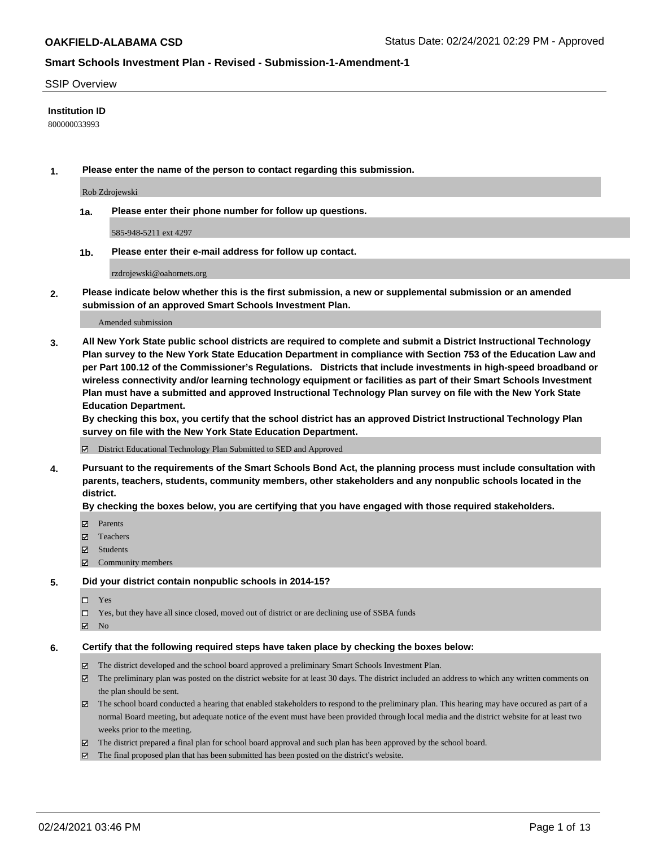#### SSIP Overview

#### **Institution ID**

800000033993

**1. Please enter the name of the person to contact regarding this submission.**

Rob Zdrojewski

**1a. Please enter their phone number for follow up questions.**

585-948-5211 ext 4297

**1b. Please enter their e-mail address for follow up contact.**

rzdrojewski@oahornets.org

**2. Please indicate below whether this is the first submission, a new or supplemental submission or an amended submission of an approved Smart Schools Investment Plan.**

#### Amended submission

**3. All New York State public school districts are required to complete and submit a District Instructional Technology Plan survey to the New York State Education Department in compliance with Section 753 of the Education Law and per Part 100.12 of the Commissioner's Regulations. Districts that include investments in high-speed broadband or wireless connectivity and/or learning technology equipment or facilities as part of their Smart Schools Investment Plan must have a submitted and approved Instructional Technology Plan survey on file with the New York State Education Department.** 

**By checking this box, you certify that the school district has an approved District Instructional Technology Plan survey on file with the New York State Education Department.**

District Educational Technology Plan Submitted to SED and Approved

**4. Pursuant to the requirements of the Smart Schools Bond Act, the planning process must include consultation with parents, teachers, students, community members, other stakeholders and any nonpublic schools located in the district.** 

#### **By checking the boxes below, you are certifying that you have engaged with those required stakeholders.**

- **Ø** Parents
- Teachers
- Students
- $\Xi$  Community members

#### **5. Did your district contain nonpublic schools in 2014-15?**

- □ Yes
- □ Yes, but they have all since closed, moved out of district or are declining use of SSBA funds
- **Ø** No

#### **6. Certify that the following required steps have taken place by checking the boxes below:**

- The district developed and the school board approved a preliminary Smart Schools Investment Plan.
- The preliminary plan was posted on the district website for at least 30 days. The district included an address to which any written comments on the plan should be sent.
- The school board conducted a hearing that enabled stakeholders to respond to the preliminary plan. This hearing may have occured as part of a normal Board meeting, but adequate notice of the event must have been provided through local media and the district website for at least two weeks prior to the meeting.
- The district prepared a final plan for school board approval and such plan has been approved by the school board.
- $\boxtimes$  The final proposed plan that has been submitted has been posted on the district's website.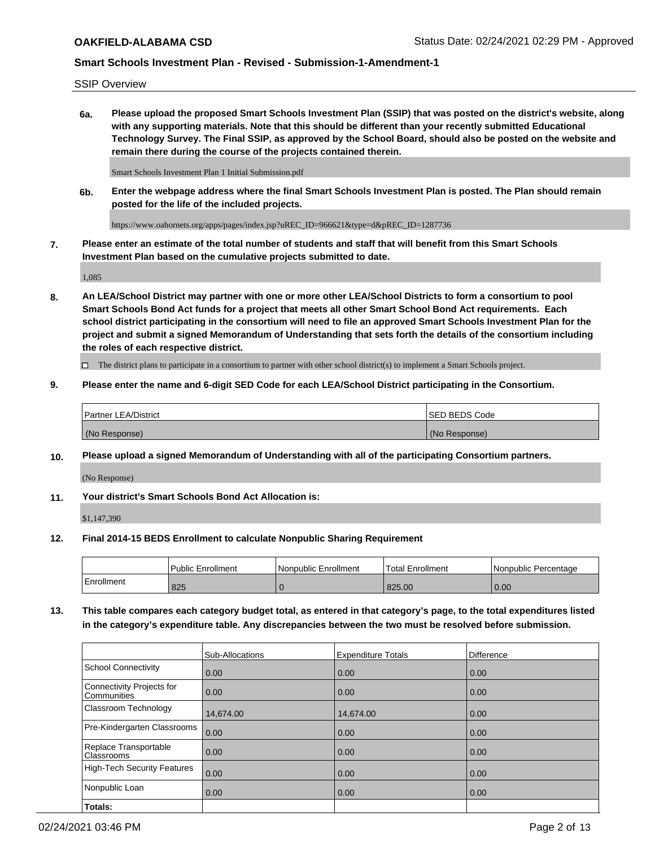SSIP Overview

**6a. Please upload the proposed Smart Schools Investment Plan (SSIP) that was posted on the district's website, along with any supporting materials. Note that this should be different than your recently submitted Educational Technology Survey. The Final SSIP, as approved by the School Board, should also be posted on the website and remain there during the course of the projects contained therein.**

Smart Schools Investment Plan 1 Initial Submission.pdf

**6b. Enter the webpage address where the final Smart Schools Investment Plan is posted. The Plan should remain posted for the life of the included projects.**

https://www.oahornets.org/apps/pages/index.jsp?uREC\_ID=966621&type=d&pREC\_ID=1287736

**7. Please enter an estimate of the total number of students and staff that will benefit from this Smart Schools Investment Plan based on the cumulative projects submitted to date.**

1,085

**8. An LEA/School District may partner with one or more other LEA/School Districts to form a consortium to pool Smart Schools Bond Act funds for a project that meets all other Smart School Bond Act requirements. Each school district participating in the consortium will need to file an approved Smart Schools Investment Plan for the project and submit a signed Memorandum of Understanding that sets forth the details of the consortium including the roles of each respective district.**

 $\Box$  The district plans to participate in a consortium to partner with other school district(s) to implement a Smart Schools project.

#### **9. Please enter the name and 6-digit SED Code for each LEA/School District participating in the Consortium.**

| <sup>1</sup> Partner LEA/District | <b>ISED BEDS Code</b> |
|-----------------------------------|-----------------------|
| (No Response)                     | (No Response)         |

## **10. Please upload a signed Memorandum of Understanding with all of the participating Consortium partners.**

(No Response)

#### **11. Your district's Smart Schools Bond Act Allocation is:**

\$1,147,390

#### **12. Final 2014-15 BEDS Enrollment to calculate Nonpublic Sharing Requirement**

|            | Public Enrollment | Nonpublic Enrollment | Total Enrollment | I Nonpublic Percentage |
|------------|-------------------|----------------------|------------------|------------------------|
| Enrollment | 825               |                      | 825.00           | 0.00                   |

**13. This table compares each category budget total, as entered in that category's page, to the total expenditures listed in the category's expenditure table. Any discrepancies between the two must be resolved before submission.**

|                                          | Sub-Allocations | <b>Expenditure Totals</b> | <b>Difference</b> |
|------------------------------------------|-----------------|---------------------------|-------------------|
| <b>School Connectivity</b>               | 0.00            | 0.00                      | 0.00              |
| Connectivity Projects for<br>Communities | 0.00            | 0.00                      | 0.00              |
| Classroom Technology                     | 14,674.00       | 14,674.00                 | 0.00              |
| Pre-Kindergarten Classrooms              | 0.00            | 0.00                      | 0.00              |
| Replace Transportable<br>Classrooms      | 0.00            | 0.00                      | 0.00              |
| High-Tech Security Features              | 0.00            | 0.00                      | 0.00              |
| Nonpublic Loan                           | 0.00            | 0.00                      | 0.00              |
| Totals:                                  |                 |                           |                   |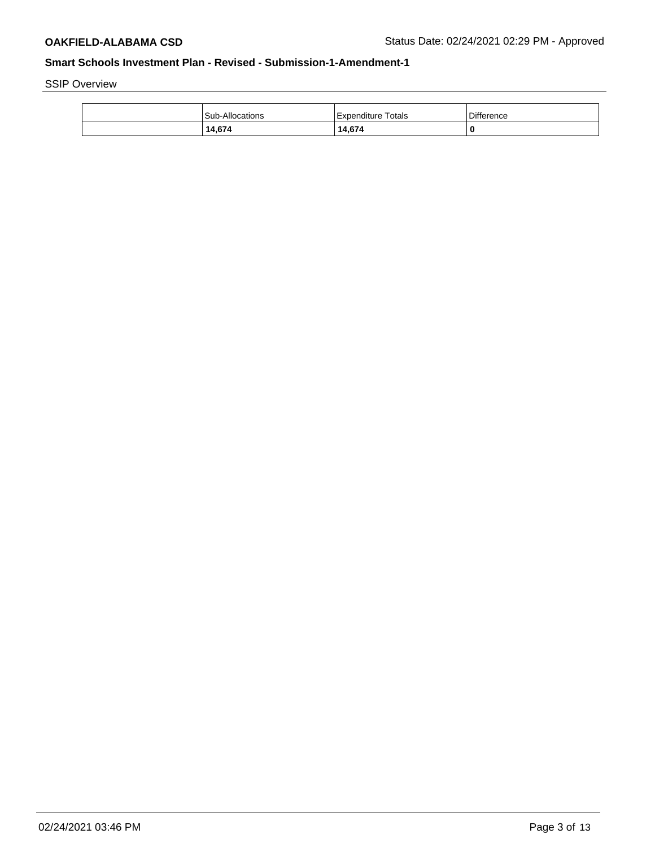SSIP Overview

| <b>Sub-Allocations</b> | Expenditure Totals | Difference |
|------------------------|--------------------|------------|
| 14,674                 | 14,674             | 0          |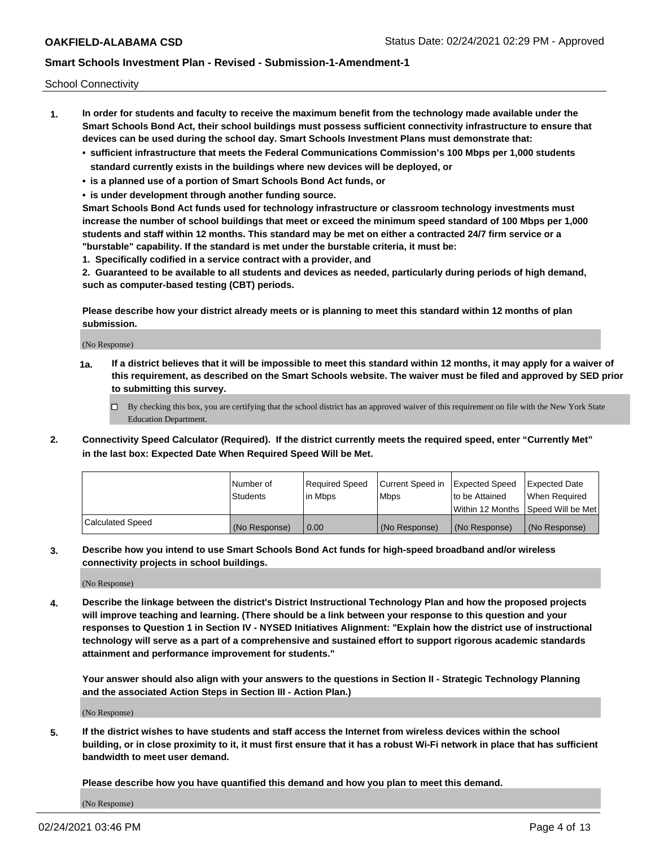School Connectivity

- **1. In order for students and faculty to receive the maximum benefit from the technology made available under the Smart Schools Bond Act, their school buildings must possess sufficient connectivity infrastructure to ensure that devices can be used during the school day. Smart Schools Investment Plans must demonstrate that:**
	- **• sufficient infrastructure that meets the Federal Communications Commission's 100 Mbps per 1,000 students standard currently exists in the buildings where new devices will be deployed, or**
	- **• is a planned use of a portion of Smart Schools Bond Act funds, or**
	- **• is under development through another funding source.**

**Smart Schools Bond Act funds used for technology infrastructure or classroom technology investments must increase the number of school buildings that meet or exceed the minimum speed standard of 100 Mbps per 1,000 students and staff within 12 months. This standard may be met on either a contracted 24/7 firm service or a "burstable" capability. If the standard is met under the burstable criteria, it must be:**

**1. Specifically codified in a service contract with a provider, and**

**2. Guaranteed to be available to all students and devices as needed, particularly during periods of high demand, such as computer-based testing (CBT) periods.**

**Please describe how your district already meets or is planning to meet this standard within 12 months of plan submission.**

(No Response)

**1a. If a district believes that it will be impossible to meet this standard within 12 months, it may apply for a waiver of this requirement, as described on the Smart Schools website. The waiver must be filed and approved by SED prior to submitting this survey.**

 $\Box$  By checking this box, you are certifying that the school district has an approved waiver of this requirement on file with the New York State Education Department.

**2. Connectivity Speed Calculator (Required). If the district currently meets the required speed, enter "Currently Met" in the last box: Expected Date When Required Speed Will be Met.**

|                  | l Number of     | Required Speed | Current Speed in | Expected Speed | Expected Date                           |
|------------------|-----------------|----------------|------------------|----------------|-----------------------------------------|
|                  | <b>Students</b> | In Mbps        | l Mbps           | to be Attained | When Required                           |
|                  |                 |                |                  |                | l Within 12 Months ISpeed Will be Met l |
| Calculated Speed | (No Response)   | 0.00           | (No Response)    | (No Response)  | (No Response)                           |

**3. Describe how you intend to use Smart Schools Bond Act funds for high-speed broadband and/or wireless connectivity projects in school buildings.**

(No Response)

**4. Describe the linkage between the district's District Instructional Technology Plan and how the proposed projects will improve teaching and learning. (There should be a link between your response to this question and your responses to Question 1 in Section IV - NYSED Initiatives Alignment: "Explain how the district use of instructional technology will serve as a part of a comprehensive and sustained effort to support rigorous academic standards attainment and performance improvement for students."** 

**Your answer should also align with your answers to the questions in Section II - Strategic Technology Planning and the associated Action Steps in Section III - Action Plan.)**

(No Response)

**5. If the district wishes to have students and staff access the Internet from wireless devices within the school building, or in close proximity to it, it must first ensure that it has a robust Wi-Fi network in place that has sufficient bandwidth to meet user demand.**

**Please describe how you have quantified this demand and how you plan to meet this demand.**

(No Response)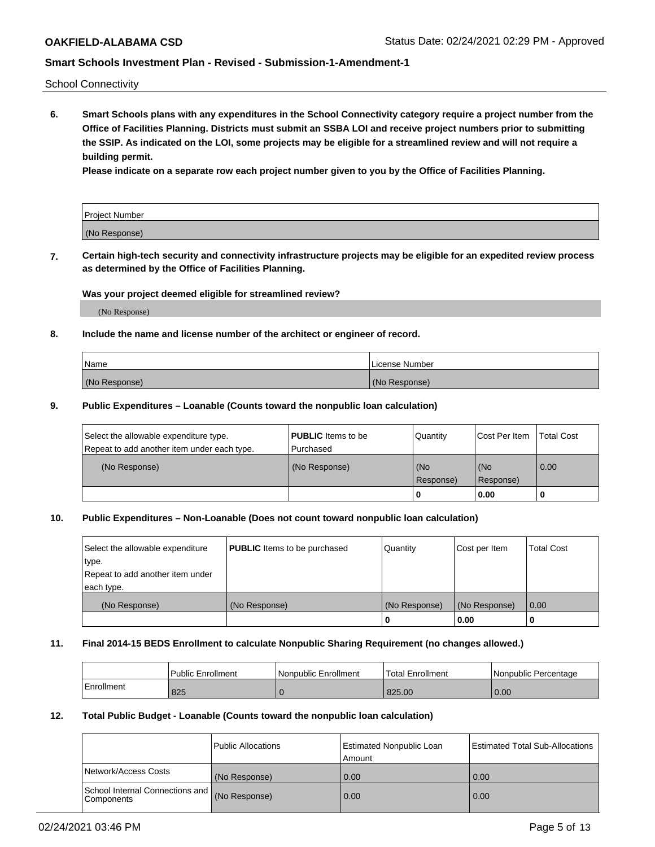School Connectivity

**6. Smart Schools plans with any expenditures in the School Connectivity category require a project number from the Office of Facilities Planning. Districts must submit an SSBA LOI and receive project numbers prior to submitting the SSIP. As indicated on the LOI, some projects may be eligible for a streamlined review and will not require a building permit.**

**Please indicate on a separate row each project number given to you by the Office of Facilities Planning.**

| Project Number |  |
|----------------|--|
| (No Response)  |  |

**7. Certain high-tech security and connectivity infrastructure projects may be eligible for an expedited review process as determined by the Office of Facilities Planning.**

## **Was your project deemed eligible for streamlined review?**

(No Response)

## **8. Include the name and license number of the architect or engineer of record.**

| Name          | License Number |
|---------------|----------------|
| (No Response) | (No Response)  |

#### **9. Public Expenditures – Loanable (Counts toward the nonpublic loan calculation)**

| Select the allowable expenditure type.<br>Repeat to add another item under each type. | <b>PUBLIC</b> Items to be<br>l Purchased | Quantity           | Cost Per Item    | <b>Total Cost</b> |
|---------------------------------------------------------------------------------------|------------------------------------------|--------------------|------------------|-------------------|
| (No Response)                                                                         | (No Response)                            | l (No<br>Response) | (No<br>Response) | $\overline{0.00}$ |
|                                                                                       |                                          | O                  | 0.00             |                   |

## **10. Public Expenditures – Non-Loanable (Does not count toward nonpublic loan calculation)**

| Select the allowable expenditure<br>type.<br>Repeat to add another item under<br>each type. | <b>PUBLIC</b> Items to be purchased | Quantity      | Cost per Item | <b>Total Cost</b> |
|---------------------------------------------------------------------------------------------|-------------------------------------|---------------|---------------|-------------------|
| (No Response)                                                                               | (No Response)                       | (No Response) | (No Response) | 0.00              |
|                                                                                             |                                     |               | 0.00          |                   |

#### **11. Final 2014-15 BEDS Enrollment to calculate Nonpublic Sharing Requirement (no changes allowed.)**

|            | Public Enrollment | l Nonpublic Enrollment | <b>Total Enrollment</b> | Nonpublic Percentage |
|------------|-------------------|------------------------|-------------------------|----------------------|
| Enrollment | 825               |                        | 825.00                  | 0.00                 |

#### **12. Total Public Budget - Loanable (Counts toward the nonpublic loan calculation)**

|                                               | Public Allocations | <b>Estimated Nonpublic Loan</b><br>Amount | Estimated Total Sub-Allocations |
|-----------------------------------------------|--------------------|-------------------------------------------|---------------------------------|
| Network/Access Costs                          | (No Response)      | 0.00                                      | 0.00                            |
| School Internal Connections and<br>Components | (No Response)      | 0.00                                      | 0.00                            |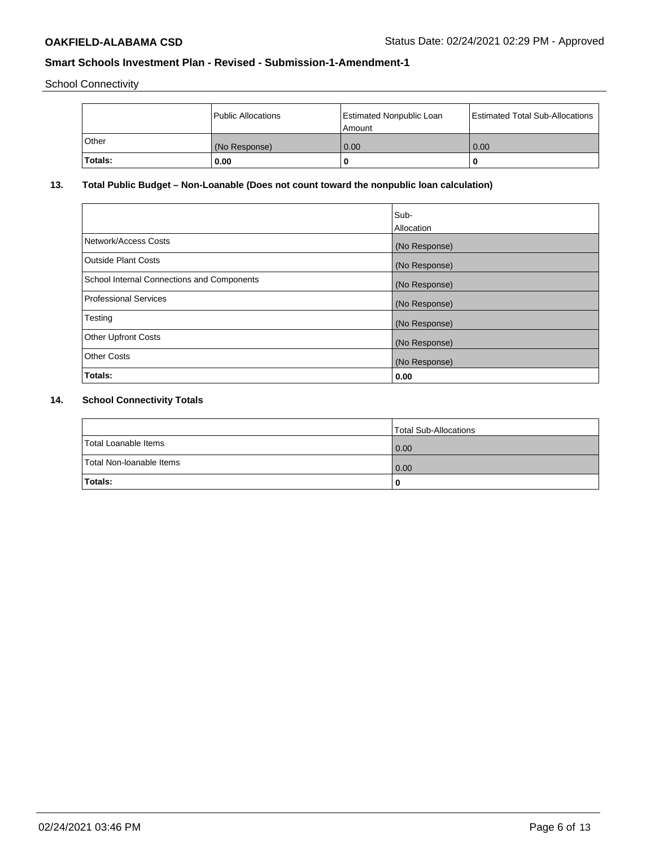School Connectivity

|         | Public Allocations | <b>Estimated Nonpublic Loan</b><br>l Amount | <b>Estimated Total Sub-Allocations</b> |
|---------|--------------------|---------------------------------------------|----------------------------------------|
| l Other | (No Response)      | 0.00                                        | 0.00                                   |
| Totals: | 0.00               | 0                                           |                                        |

# **13. Total Public Budget – Non-Loanable (Does not count toward the nonpublic loan calculation)**

|                                                   | Sub-<br>Allocation |
|---------------------------------------------------|--------------------|
|                                                   |                    |
| Network/Access Costs                              | (No Response)      |
| <b>Outside Plant Costs</b>                        | (No Response)      |
| <b>School Internal Connections and Components</b> | (No Response)      |
| Professional Services                             | (No Response)      |
| Testing                                           | (No Response)      |
| <b>Other Upfront Costs</b>                        | (No Response)      |
| <b>Other Costs</b>                                | (No Response)      |
| <b>Totals:</b>                                    | 0.00               |

# **14. School Connectivity Totals**

|                          | Total Sub-Allocations |
|--------------------------|-----------------------|
| Total Loanable Items     | 0.00                  |
| Total Non-Ioanable Items | 0.00                  |
| Totals:                  | 0                     |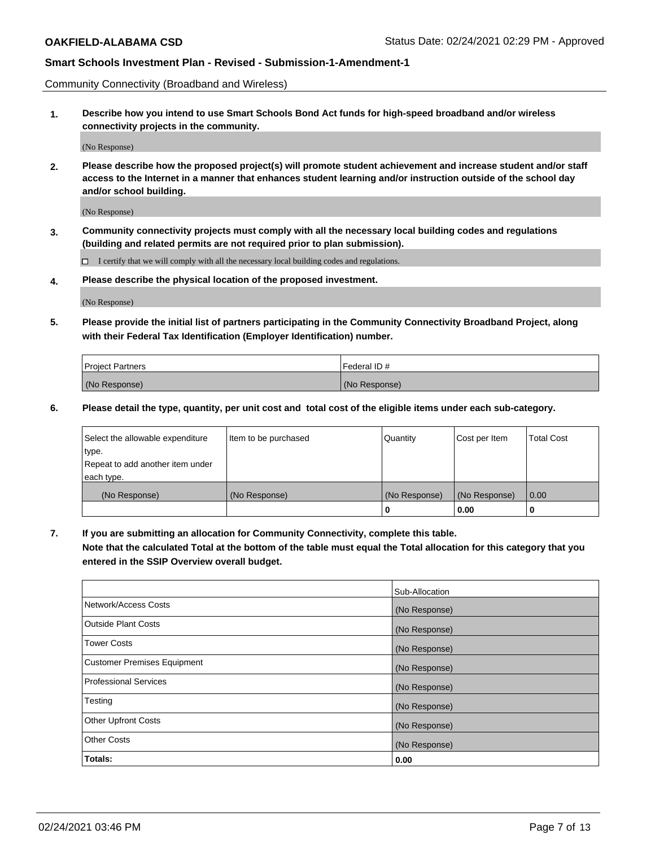Community Connectivity (Broadband and Wireless)

**1. Describe how you intend to use Smart Schools Bond Act funds for high-speed broadband and/or wireless connectivity projects in the community.**

(No Response)

**2. Please describe how the proposed project(s) will promote student achievement and increase student and/or staff access to the Internet in a manner that enhances student learning and/or instruction outside of the school day and/or school building.**

(No Response)

**3. Community connectivity projects must comply with all the necessary local building codes and regulations (building and related permits are not required prior to plan submission).**

 $\Box$  I certify that we will comply with all the necessary local building codes and regulations.

**4. Please describe the physical location of the proposed investment.**

(No Response)

**5. Please provide the initial list of partners participating in the Community Connectivity Broadband Project, along with their Federal Tax Identification (Employer Identification) number.**

| <b>Project Partners</b> | l Federal ID # |
|-------------------------|----------------|
| (No Response)           | (No Response)  |

**6. Please detail the type, quantity, per unit cost and total cost of the eligible items under each sub-category.**

| Select the allowable expenditure | Item to be purchased | Quantity      | Cost per Item | <b>Total Cost</b> |
|----------------------------------|----------------------|---------------|---------------|-------------------|
| type.                            |                      |               |               |                   |
| Repeat to add another item under |                      |               |               |                   |
| each type.                       |                      |               |               |                   |
| (No Response)                    | (No Response)        | (No Response) | (No Response) | 0.00              |
|                                  |                      | o             | 0.00          |                   |

**7. If you are submitting an allocation for Community Connectivity, complete this table.**

**Note that the calculated Total at the bottom of the table must equal the Total allocation for this category that you entered in the SSIP Overview overall budget.**

|                                    | Sub-Allocation |
|------------------------------------|----------------|
| Network/Access Costs               | (No Response)  |
| <b>Outside Plant Costs</b>         | (No Response)  |
| <b>Tower Costs</b>                 | (No Response)  |
| <b>Customer Premises Equipment</b> | (No Response)  |
| <b>Professional Services</b>       | (No Response)  |
| Testing                            | (No Response)  |
| <b>Other Upfront Costs</b>         | (No Response)  |
| <b>Other Costs</b>                 | (No Response)  |
| Totals:                            | 0.00           |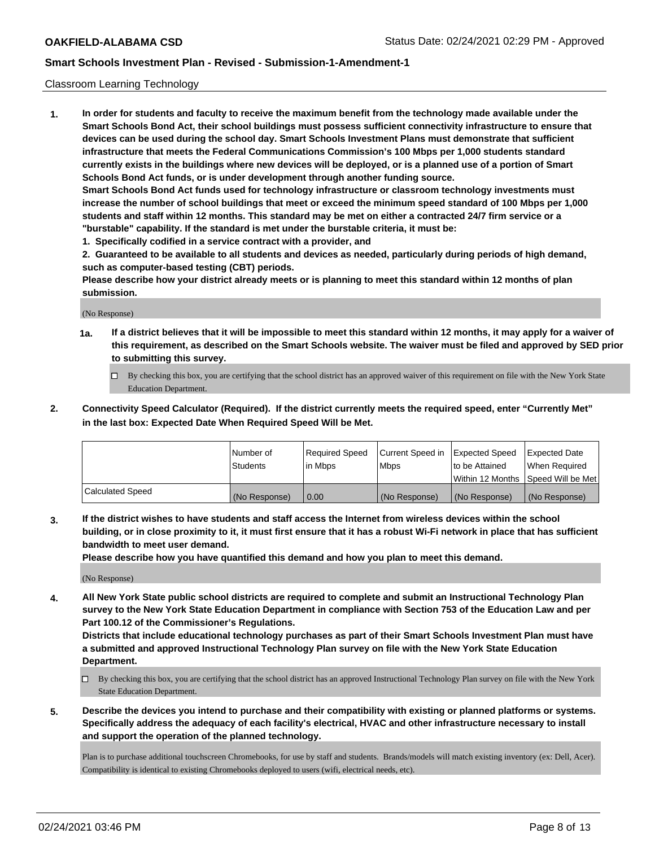## Classroom Learning Technology

**1. In order for students and faculty to receive the maximum benefit from the technology made available under the Smart Schools Bond Act, their school buildings must possess sufficient connectivity infrastructure to ensure that devices can be used during the school day. Smart Schools Investment Plans must demonstrate that sufficient infrastructure that meets the Federal Communications Commission's 100 Mbps per 1,000 students standard currently exists in the buildings where new devices will be deployed, or is a planned use of a portion of Smart Schools Bond Act funds, or is under development through another funding source. Smart Schools Bond Act funds used for technology infrastructure or classroom technology investments must increase the number of school buildings that meet or exceed the minimum speed standard of 100 Mbps per 1,000 students and staff within 12 months. This standard may be met on either a contracted 24/7 firm service or a**

**"burstable" capability. If the standard is met under the burstable criteria, it must be:**

**1. Specifically codified in a service contract with a provider, and**

**2. Guaranteed to be available to all students and devices as needed, particularly during periods of high demand, such as computer-based testing (CBT) periods.**

**Please describe how your district already meets or is planning to meet this standard within 12 months of plan submission.**

(No Response)

- **1a. If a district believes that it will be impossible to meet this standard within 12 months, it may apply for a waiver of this requirement, as described on the Smart Schools website. The waiver must be filed and approved by SED prior to submitting this survey.**
	- By checking this box, you are certifying that the school district has an approved waiver of this requirement on file with the New York State Education Department.
- **2. Connectivity Speed Calculator (Required). If the district currently meets the required speed, enter "Currently Met" in the last box: Expected Date When Required Speed Will be Met.**

|                  | l Number of     | Required Speed | Current Speed in | <b>Expected Speed</b> | <b>Expected Date</b>                |
|------------------|-----------------|----------------|------------------|-----------------------|-------------------------------------|
|                  | <b>Students</b> | l in Mbps      | l Mbps           | to be Attained        | When Required                       |
|                  |                 |                |                  |                       | Within 12 Months  Speed Will be Met |
| Calculated Speed | (No Response)   | 0.00           | (No Response)    | l (No Response)       | (No Response)                       |

**3. If the district wishes to have students and staff access the Internet from wireless devices within the school building, or in close proximity to it, it must first ensure that it has a robust Wi-Fi network in place that has sufficient bandwidth to meet user demand.**

**Please describe how you have quantified this demand and how you plan to meet this demand.**

(No Response)

**4. All New York State public school districts are required to complete and submit an Instructional Technology Plan survey to the New York State Education Department in compliance with Section 753 of the Education Law and per Part 100.12 of the Commissioner's Regulations.**

**Districts that include educational technology purchases as part of their Smart Schools Investment Plan must have a submitted and approved Instructional Technology Plan survey on file with the New York State Education Department.**

- By checking this box, you are certifying that the school district has an approved Instructional Technology Plan survey on file with the New York State Education Department.
- **5. Describe the devices you intend to purchase and their compatibility with existing or planned platforms or systems. Specifically address the adequacy of each facility's electrical, HVAC and other infrastructure necessary to install and support the operation of the planned technology.**

Plan is to purchase additional touchscreen Chromebooks, for use by staff and students. Brands/models will match existing inventory (ex: Dell, Acer). Compatibility is identical to existing Chromebooks deployed to users (wifi, electrical needs, etc).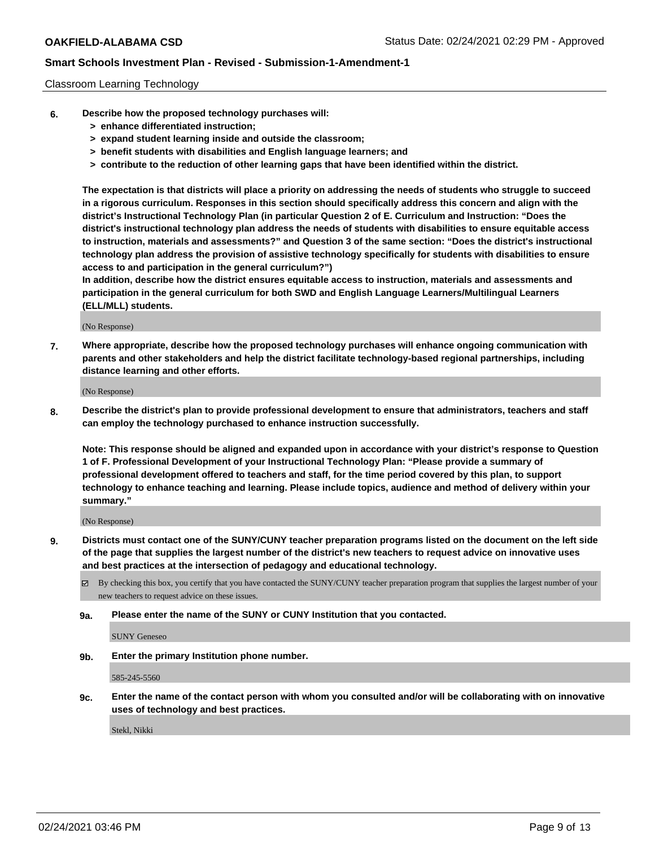## Classroom Learning Technology

- **6. Describe how the proposed technology purchases will:**
	- **> enhance differentiated instruction;**
	- **> expand student learning inside and outside the classroom;**
	- **> benefit students with disabilities and English language learners; and**
	- **> contribute to the reduction of other learning gaps that have been identified within the district.**

**The expectation is that districts will place a priority on addressing the needs of students who struggle to succeed in a rigorous curriculum. Responses in this section should specifically address this concern and align with the district's Instructional Technology Plan (in particular Question 2 of E. Curriculum and Instruction: "Does the district's instructional technology plan address the needs of students with disabilities to ensure equitable access to instruction, materials and assessments?" and Question 3 of the same section: "Does the district's instructional technology plan address the provision of assistive technology specifically for students with disabilities to ensure access to and participation in the general curriculum?")**

**In addition, describe how the district ensures equitable access to instruction, materials and assessments and participation in the general curriculum for both SWD and English Language Learners/Multilingual Learners (ELL/MLL) students.**

(No Response)

**7. Where appropriate, describe how the proposed technology purchases will enhance ongoing communication with parents and other stakeholders and help the district facilitate technology-based regional partnerships, including distance learning and other efforts.**

(No Response)

**8. Describe the district's plan to provide professional development to ensure that administrators, teachers and staff can employ the technology purchased to enhance instruction successfully.**

**Note: This response should be aligned and expanded upon in accordance with your district's response to Question 1 of F. Professional Development of your Instructional Technology Plan: "Please provide a summary of professional development offered to teachers and staff, for the time period covered by this plan, to support technology to enhance teaching and learning. Please include topics, audience and method of delivery within your summary."**

(No Response)

- **9. Districts must contact one of the SUNY/CUNY teacher preparation programs listed on the document on the left side of the page that supplies the largest number of the district's new teachers to request advice on innovative uses and best practices at the intersection of pedagogy and educational technology.**
	- By checking this box, you certify that you have contacted the SUNY/CUNY teacher preparation program that supplies the largest number of your new teachers to request advice on these issues.
	- **9a. Please enter the name of the SUNY or CUNY Institution that you contacted.**

SUNY Geneseo

**9b. Enter the primary Institution phone number.**

585-245-5560

**9c. Enter the name of the contact person with whom you consulted and/or will be collaborating with on innovative uses of technology and best practices.**

Stekl, Nikki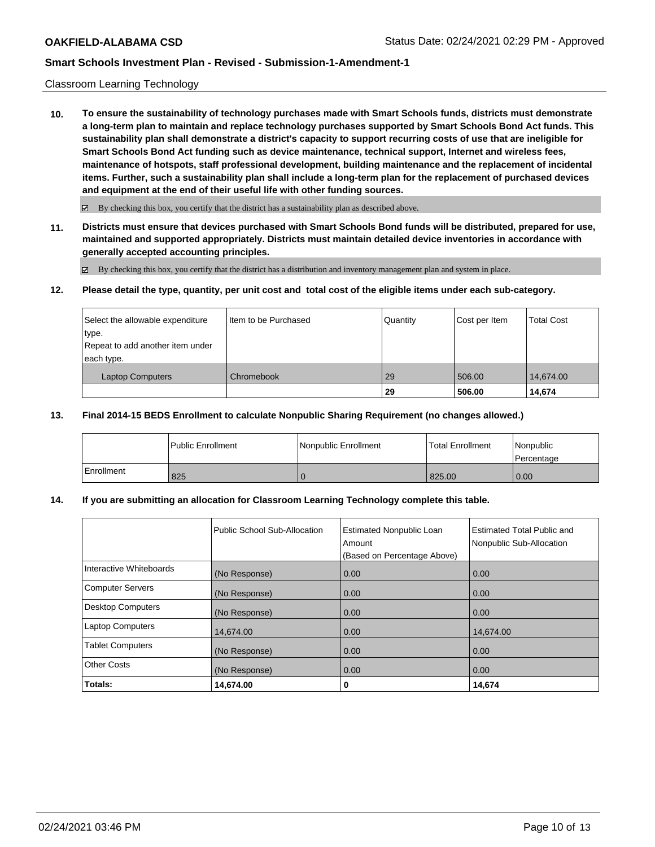## Classroom Learning Technology

**10. To ensure the sustainability of technology purchases made with Smart Schools funds, districts must demonstrate a long-term plan to maintain and replace technology purchases supported by Smart Schools Bond Act funds. This sustainability plan shall demonstrate a district's capacity to support recurring costs of use that are ineligible for Smart Schools Bond Act funding such as device maintenance, technical support, Internet and wireless fees, maintenance of hotspots, staff professional development, building maintenance and the replacement of incidental items. Further, such a sustainability plan shall include a long-term plan for the replacement of purchased devices and equipment at the end of their useful life with other funding sources.**

 $\boxtimes$  By checking this box, you certify that the district has a sustainability plan as described above.

**11. Districts must ensure that devices purchased with Smart Schools Bond funds will be distributed, prepared for use, maintained and supported appropriately. Districts must maintain detailed device inventories in accordance with generally accepted accounting principles.**

By checking this box, you certify that the district has a distribution and inventory management plan and system in place.

#### **12. Please detail the type, quantity, per unit cost and total cost of the eligible items under each sub-category.**

| Select the allowable expenditure<br>type.<br>Repeat to add another item under<br>each type. | Item to be Purchased | Quantity | Cost per Item | <b>Total Cost</b> |
|---------------------------------------------------------------------------------------------|----------------------|----------|---------------|-------------------|
| <b>Laptop Computers</b>                                                                     | Chromebook           | 29       | 506.00        | 14,674.00         |
|                                                                                             |                      | -29      | 506.00        | 14.674            |

## **13. Final 2014-15 BEDS Enrollment to calculate Nonpublic Sharing Requirement (no changes allowed.)**

|              | <b>Public Enrollment</b> | l Nonpublic Enrollment | <b>Total Enrollment</b> | Nonpublic<br>l Percentage |
|--------------|--------------------------|------------------------|-------------------------|---------------------------|
| l Enrollment | 825                      |                        | 825.00                  | 0.00                      |

## **14. If you are submitting an allocation for Classroom Learning Technology complete this table.**

|                          | Public School Sub-Allocation | <b>Estimated Nonpublic Loan</b><br>Amount<br>(Based on Percentage Above) | Estimated Total Public and<br>Nonpublic Sub-Allocation |
|--------------------------|------------------------------|--------------------------------------------------------------------------|--------------------------------------------------------|
| Interactive Whiteboards  | (No Response)                | 0.00                                                                     | 0.00                                                   |
| <b>Computer Servers</b>  | (No Response)                | 0.00                                                                     | 0.00                                                   |
| <b>Desktop Computers</b> | (No Response)                | 0.00                                                                     | 0.00                                                   |
| <b>Laptop Computers</b>  | 14,674.00                    | 0.00                                                                     | 14,674.00                                              |
| <b>Tablet Computers</b>  | (No Response)                | 0.00                                                                     | 0.00                                                   |
| <b>Other Costs</b>       | (No Response)                | 0.00                                                                     | 0.00                                                   |
| Totals:                  | 14,674.00                    | 0                                                                        | 14,674                                                 |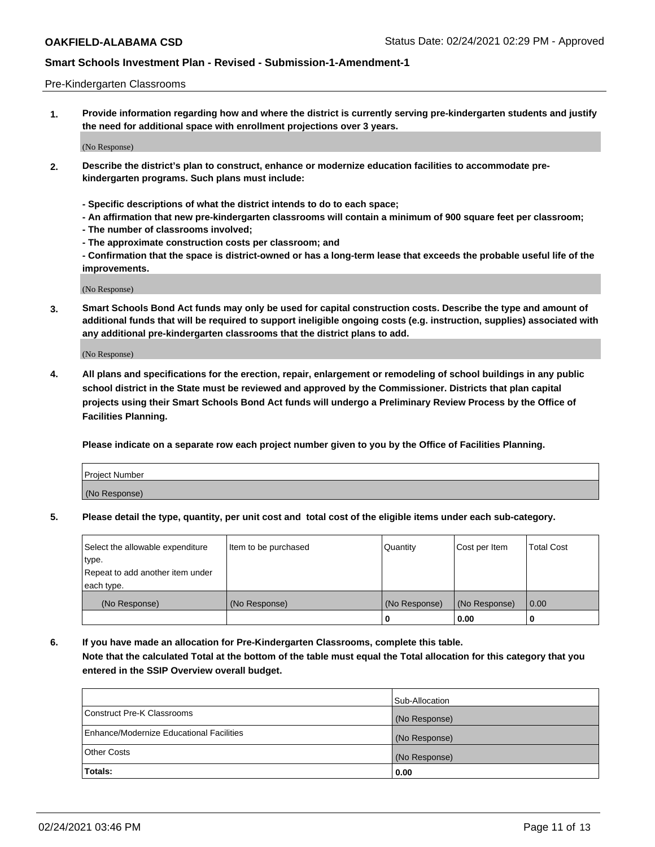#### Pre-Kindergarten Classrooms

**1. Provide information regarding how and where the district is currently serving pre-kindergarten students and justify the need for additional space with enrollment projections over 3 years.**

(No Response)

- **2. Describe the district's plan to construct, enhance or modernize education facilities to accommodate prekindergarten programs. Such plans must include:**
	- **Specific descriptions of what the district intends to do to each space;**
	- **An affirmation that new pre-kindergarten classrooms will contain a minimum of 900 square feet per classroom;**
	- **The number of classrooms involved;**
	- **The approximate construction costs per classroom; and**
	- **Confirmation that the space is district-owned or has a long-term lease that exceeds the probable useful life of the improvements.**

(No Response)

**3. Smart Schools Bond Act funds may only be used for capital construction costs. Describe the type and amount of additional funds that will be required to support ineligible ongoing costs (e.g. instruction, supplies) associated with any additional pre-kindergarten classrooms that the district plans to add.**

(No Response)

**4. All plans and specifications for the erection, repair, enlargement or remodeling of school buildings in any public school district in the State must be reviewed and approved by the Commissioner. Districts that plan capital projects using their Smart Schools Bond Act funds will undergo a Preliminary Review Process by the Office of Facilities Planning.**

**Please indicate on a separate row each project number given to you by the Office of Facilities Planning.**

| Project Number |  |
|----------------|--|
| (No Response)  |  |
|                |  |

**5. Please detail the type, quantity, per unit cost and total cost of the eligible items under each sub-category.**

| Select the allowable expenditure | Item to be purchased | Quantity      | Cost per Item | <b>Total Cost</b> |
|----------------------------------|----------------------|---------------|---------------|-------------------|
| type.                            |                      |               |               |                   |
| Repeat to add another item under |                      |               |               |                   |
| each type.                       |                      |               |               |                   |
| (No Response)                    | (No Response)        | (No Response) | (No Response) | 0.00              |
|                                  |                      | U             | 0.00          |                   |

**6. If you have made an allocation for Pre-Kindergarten Classrooms, complete this table. Note that the calculated Total at the bottom of the table must equal the Total allocation for this category that you entered in the SSIP Overview overall budget.**

|                                          | Sub-Allocation |
|------------------------------------------|----------------|
| Construct Pre-K Classrooms               | (No Response)  |
| Enhance/Modernize Educational Facilities | (No Response)  |
| <b>Other Costs</b>                       | (No Response)  |
| Totals:                                  | 0.00           |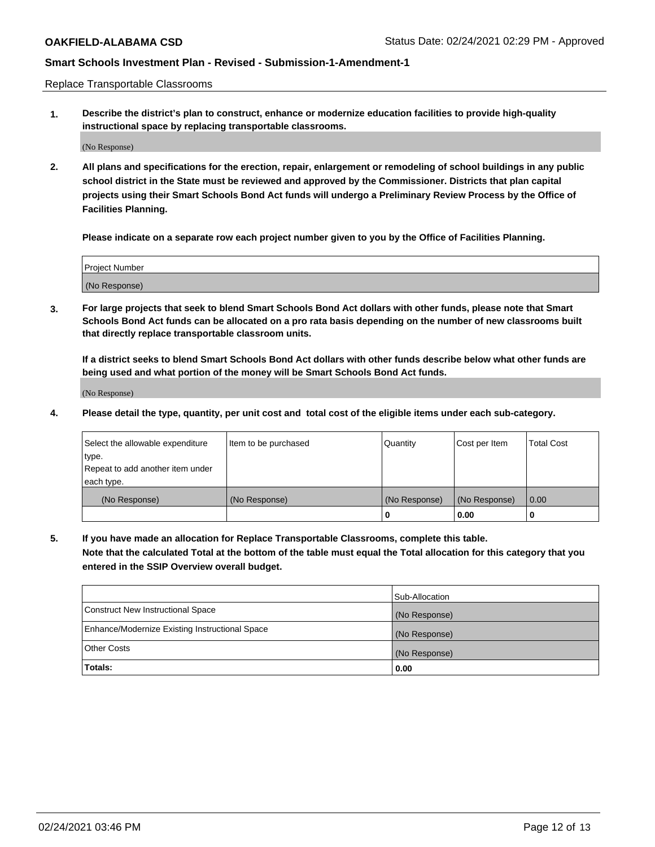Replace Transportable Classrooms

**1. Describe the district's plan to construct, enhance or modernize education facilities to provide high-quality instructional space by replacing transportable classrooms.**

(No Response)

**2. All plans and specifications for the erection, repair, enlargement or remodeling of school buildings in any public school district in the State must be reviewed and approved by the Commissioner. Districts that plan capital projects using their Smart Schools Bond Act funds will undergo a Preliminary Review Process by the Office of Facilities Planning.**

**Please indicate on a separate row each project number given to you by the Office of Facilities Planning.**

| Project Number |  |
|----------------|--|
|                |  |
| (No Response)  |  |

**3. For large projects that seek to blend Smart Schools Bond Act dollars with other funds, please note that Smart Schools Bond Act funds can be allocated on a pro rata basis depending on the number of new classrooms built that directly replace transportable classroom units.**

**If a district seeks to blend Smart Schools Bond Act dollars with other funds describe below what other funds are being used and what portion of the money will be Smart Schools Bond Act funds.**

(No Response)

**4. Please detail the type, quantity, per unit cost and total cost of the eligible items under each sub-category.**

| Select the allowable expenditure | Item to be purchased | Quantity      | Cost per Item | Total Cost |
|----------------------------------|----------------------|---------------|---------------|------------|
| ∣type.                           |                      |               |               |            |
| Repeat to add another item under |                      |               |               |            |
| each type.                       |                      |               |               |            |
| (No Response)                    | (No Response)        | (No Response) | (No Response) | 0.00       |
|                                  |                      | u             | 0.00          |            |

**5. If you have made an allocation for Replace Transportable Classrooms, complete this table. Note that the calculated Total at the bottom of the table must equal the Total allocation for this category that you entered in the SSIP Overview overall budget.**

|                                                | Sub-Allocation |
|------------------------------------------------|----------------|
| Construct New Instructional Space              | (No Response)  |
| Enhance/Modernize Existing Instructional Space | (No Response)  |
| Other Costs                                    | (No Response)  |
| Totals:                                        | 0.00           |